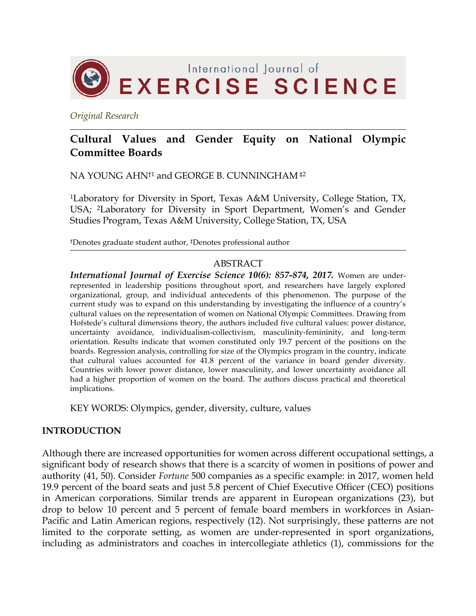

*Original Research*

# **Cultural Values and Gender Equity on National Olympic Committee Boards**

NA YOUNG AHN†1 and GEORGE B. CUNNINGHAM ‡2

1Laboratory for Diversity in Sport, Texas A&M University, College Station, TX, USA; 2Laboratory for Diversity in Sport Department, Women's and Gender Studies Program, Texas A&M University, College Station, TX, USA

†Denotes graduate student author, ‡Denotes professional author

#### ABSTRACT

*International Journal of Exercise Science 10(6): 857-874, 2017.* Women are underrepresented in leadership positions throughout sport, and researchers have largely explored organizational, group, and individual antecedents of this phenomenon. The purpose of the current study was to expand on this understanding by investigating the influence of a country's cultural values on the representation of women on National Olympic Committees. Drawing from Hofstede's cultural dimensions theory, the authors included five cultural values: power distance, uncertainty avoidance, individualism-collectivism, masculinity-femininity, and long-term orientation. Results indicate that women constituted only 19.7 percent of the positions on the boards. Regression analysis, controlling for size of the Olympics program in the country, indicate that cultural values accounted for 41.8 percent of the variance in board gender diversity. Countries with lower power distance, lower masculinity, and lower uncertainty avoidance all had a higher proportion of women on the board. The authors discuss practical and theoretical implications.

KEY WORDS: Olympics, gender, diversity, culture, values

#### **INTRODUCTION**

Although there are increased opportunities for women across different occupational settings, a significant body of research shows that there is a scarcity of women in positions of power and authority (41, 50). Consider *Fortune* 500 companies as a specific example: in 2017, women held 19.9 percent of the board seats and just 5.8 percent of Chief Executive Officer (CEO) positions in American corporations. Similar trends are apparent in European organizations (23), but drop to below 10 percent and 5 percent of female board members in workforces in Asian-Pacific and Latin American regions, respectively (12). Not surprisingly, these patterns are not limited to the corporate setting, as women are under-represented in sport organizations, including as administrators and coaches in intercollegiate athletics (1), commissions for the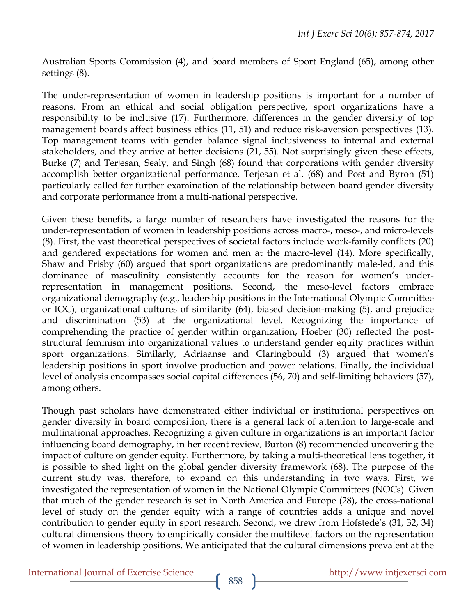Australian Sports Commission (4), and board members of Sport England (65), among other settings (8).

The under-representation of women in leadership positions is important for a number of reasons. From an ethical and social obligation perspective, sport organizations have a responsibility to be inclusive (17). Furthermore, differences in the gender diversity of top management boards affect business ethics (11, 51) and reduce risk-aversion perspectives (13). Top management teams with gender balance signal inclusiveness to internal and external stakeholders, and they arrive at better decisions (21, 55). Not surprisingly given these effects, Burke (7) and Terjesan, Sealy, and Singh (68) found that corporations with gender diversity accomplish better organizational performance. Terjesan et al. (68) and Post and Byron (51) particularly called for further examination of the relationship between board gender diversity and corporate performance from a multi-national perspective.

Given these benefits, a large number of researchers have investigated the reasons for the under-representation of women in leadership positions across macro-, meso-, and micro-levels (8). First, the vast theoretical perspectives of societal factors include work-family conflicts (20) and gendered expectations for women and men at the macro-level (14). More specifically, Shaw and Frisby (60) argued that sport organizations are predominantly male-led, and this dominance of masculinity consistently accounts for the reason for women's underrepresentation in management positions. Second, the meso-level factors embrace organizational demography (e.g., leadership positions in the International Olympic Committee or IOC), organizational cultures of similarity (64), biased decision-making (5), and prejudice and discrimination (53) at the organizational level. Recognizing the importance of comprehending the practice of gender within organization, Hoeber (30) reflected the poststructural feminism into organizational values to understand gender equity practices within sport organizations. Similarly, Adriaanse and Claringbould (3) argued that women's leadership positions in sport involve production and power relations. Finally, the individual level of analysis encompasses social capital differences (56, 70) and self-limiting behaviors (57), among others.

Though past scholars have demonstrated either individual or institutional perspectives on gender diversity in board composition, there is a general lack of attention to large-scale and multinational approaches. Recognizing a given culture in organizations is an important factor influencing board demography, in her recent review, Burton (8) recommended uncovering the impact of culture on gender equity. Furthermore, by taking a multi-theoretical lens together, it is possible to shed light on the global gender diversity framework (68). The purpose of the current study was, therefore, to expand on this understanding in two ways. First, we investigated the representation of women in the National Olympic Committees (NOCs). Given that much of the gender research is set in North America and Europe (28), the cross-national level of study on the gender equity with a range of countries adds a unique and novel contribution to gender equity in sport research. Second, we drew from Hofstede's (31, 32, 34) cultural dimensions theory to empirically consider the multilevel factors on the representation of women in leadership positions. We anticipated that the cultural dimensions prevalent at the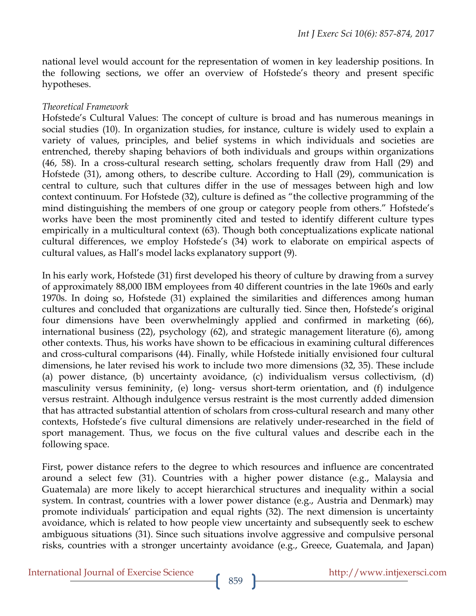national level would account for the representation of women in key leadership positions. In the following sections, we offer an overview of Hofstede's theory and present specific hypotheses.

#### *Theoretical Framework*

Hofstede's Cultural Values: The concept of culture is broad and has numerous meanings in social studies (10). In organization studies, for instance, culture is widely used to explain a variety of values, principles, and belief systems in which individuals and societies are entrenched, thereby shaping behaviors of both individuals and groups within organizations (46, 58). In a cross-cultural research setting, scholars frequently draw from Hall (29) and Hofstede (31), among others, to describe culture. According to Hall (29), communication is central to culture, such that cultures differ in the use of messages between high and low context continuum. For Hofstede (32), culture is defined as "the collective programming of the mind distinguishing the members of one group or category people from others." Hofstede's works have been the most prominently cited and tested to identify different culture types empirically in a multicultural context (63). Though both conceptualizations explicate national cultural differences, we employ Hofstede's (34) work to elaborate on empirical aspects of cultural values, as Hall's model lacks explanatory support (9).

In his early work, Hofstede (31) first developed his theory of culture by drawing from a survey of approximately 88,000 IBM employees from 40 different countries in the late 1960s and early 1970s. In doing so, Hofstede (31) explained the similarities and differences among human cultures and concluded that organizations are culturally tied. Since then, Hofstede's original four dimensions have been overwhelmingly applied and confirmed in marketing (66), international business (22), psychology (62), and strategic management literature (6), among other contexts. Thus, his works have shown to be efficacious in examining cultural differences and cross-cultural comparisons (44). Finally, while Hofstede initially envisioned four cultural dimensions, he later revised his work to include two more dimensions (32, 35). These include (a) power distance, (b) uncertainty avoidance, (c) individualism versus collectivism, (d) masculinity versus femininity, (e) long- versus short-term orientation, and (f) indulgence versus restraint. Although indulgence versus restraint is the most currently added dimension that has attracted substantial attention of scholars from cross-cultural research and many other contexts, Hofstede's five cultural dimensions are relatively under-researched in the field of sport management. Thus, we focus on the five cultural values and describe each in the following space.

First, power distance refers to the degree to which resources and influence are concentrated around a select few (31). Countries with a higher power distance (e.g., Malaysia and Guatemala) are more likely to accept hierarchical structures and inequality within a social system. In contrast, countries with a lower power distance (e.g., Austria and Denmark) may promote individuals' participation and equal rights (32). The next dimension is uncertainty avoidance, which is related to how people view uncertainty and subsequently seek to eschew ambiguous situations (31). Since such situations involve aggressive and compulsive personal risks, countries with a stronger uncertainty avoidance (e.g., Greece, Guatemala, and Japan)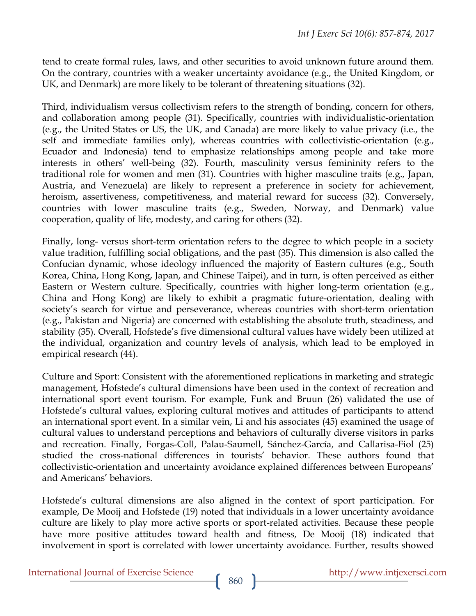tend to create formal rules, laws, and other securities to avoid unknown future around them. On the contrary, countries with a weaker uncertainty avoidance (e.g., the United Kingdom, or UK, and Denmark) are more likely to be tolerant of threatening situations (32).

Third, individualism versus collectivism refers to the strength of bonding, concern for others, and collaboration among people (31). Specifically, countries with individualistic-orientation (e.g., the United States or US, the UK, and Canada) are more likely to value privacy (i.e., the self and immediate families only), whereas countries with collectivistic-orientation (e.g., Ecuador and Indonesia) tend to emphasize relationships among people and take more interests in others' well-being (32). Fourth, masculinity versus femininity refers to the traditional role for women and men (31). Countries with higher masculine traits (e.g., Japan, Austria, and Venezuela) are likely to represent a preference in society for achievement, heroism, assertiveness, competitiveness, and material reward for success (32). Conversely, countries with lower masculine traits (e.g., Sweden, Norway, and Denmark) value cooperation, quality of life, modesty, and caring for others (32).

Finally, long- versus short-term orientation refers to the degree to which people in a society value tradition, fulfilling social obligations, and the past (35). This dimension is also called the Confucian dynamic, whose ideology influenced the majority of Eastern cultures (e.g., South Korea, China, Hong Kong, Japan, and Chinese Taipei), and in turn, is often perceived as either Eastern or Western culture. Specifically, countries with higher long-term orientation (e.g., China and Hong Kong) are likely to exhibit a pragmatic future-orientation, dealing with society's search for virtue and perseverance, whereas countries with short-term orientation (e.g., Pakistan and Nigeria) are concerned with establishing the absolute truth, steadiness, and stability (35). Overall, Hofstede's five dimensional cultural values have widely been utilized at the individual, organization and country levels of analysis, which lead to be employed in empirical research (44).

Culture and Sport: Consistent with the aforementioned replications in marketing and strategic management, Hofstede's cultural dimensions have been used in the context of recreation and international sport event tourism. For example, Funk and Bruun (26) validated the use of Hofstede's cultural values, exploring cultural motives and attitudes of participants to attend an international sport event. In a similar vein, Li and his associates (45) examined the usage of cultural values to understand perceptions and behaviors of culturally diverse visitors in parks and recreation. Finally, Forgas-Coll, Palau-Saumell, Sánchez-García, and Callarisa-Fiol (25) studied the cross-national differences in tourists' behavior. These authors found that collectivistic-orientation and uncertainty avoidance explained differences between Europeans' and Americans' behaviors.

Hofstede's cultural dimensions are also aligned in the context of sport participation. For example, De Mooij and Hofstede (19) noted that individuals in a lower uncertainty avoidance culture are likely to play more active sports or sport-related activities. Because these people have more positive attitudes toward health and fitness, De Mooij (18) indicated that involvement in sport is correlated with lower uncertainty avoidance. Further, results showed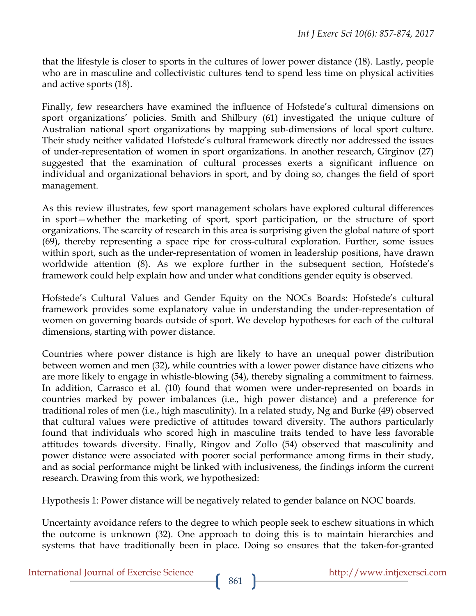that the lifestyle is closer to sports in the cultures of lower power distance (18). Lastly, people who are in masculine and collectivistic cultures tend to spend less time on physical activities and active sports (18).

Finally, few researchers have examined the influence of Hofstede's cultural dimensions on sport organizations' policies. Smith and Shilbury (61) investigated the unique culture of Australian national sport organizations by mapping sub-dimensions of local sport culture. Their study neither validated Hofstede's cultural framework directly nor addressed the issues of under-representation of women in sport organizations. In another research, Girginov (27) suggested that the examination of cultural processes exerts a significant influence on individual and organizational behaviors in sport, and by doing so, changes the field of sport management.

As this review illustrates, few sport management scholars have explored cultural differences in sport—whether the marketing of sport, sport participation, or the structure of sport organizations. The scarcity of research in this area is surprising given the global nature of sport (69), thereby representing a space ripe for cross-cultural exploration. Further, some issues within sport, such as the under-representation of women in leadership positions, have drawn worldwide attention (8). As we explore further in the subsequent section, Hofstede's framework could help explain how and under what conditions gender equity is observed.

Hofstede's Cultural Values and Gender Equity on the NOCs Boards: Hofstede's cultural framework provides some explanatory value in understanding the under-representation of women on governing boards outside of sport. We develop hypotheses for each of the cultural dimensions, starting with power distance.

Countries where power distance is high are likely to have an unequal power distribution between women and men (32), while countries with a lower power distance have citizens who are more likely to engage in whistle-blowing (54), thereby signaling a commitment to fairness. In addition, Carrasco et al. (10) found that women were under-represented on boards in countries marked by power imbalances (i.e., high power distance) and a preference for traditional roles of men (i.e., high masculinity). In a related study, Ng and Burke (49) observed that cultural values were predictive of attitudes toward diversity. The authors particularly found that individuals who scored high in masculine traits tended to have less favorable attitudes towards diversity. Finally, Ringov and Zollo (54) observed that masculinity and power distance were associated with poorer social performance among firms in their study, and as social performance might be linked with inclusiveness, the findings inform the current research. Drawing from this work, we hypothesized:

Hypothesis 1: Power distance will be negatively related to gender balance on NOC boards.

Uncertainty avoidance refers to the degree to which people seek to eschew situations in which the outcome is unknown (32). One approach to doing this is to maintain hierarchies and systems that have traditionally been in place. Doing so ensures that the taken-for-granted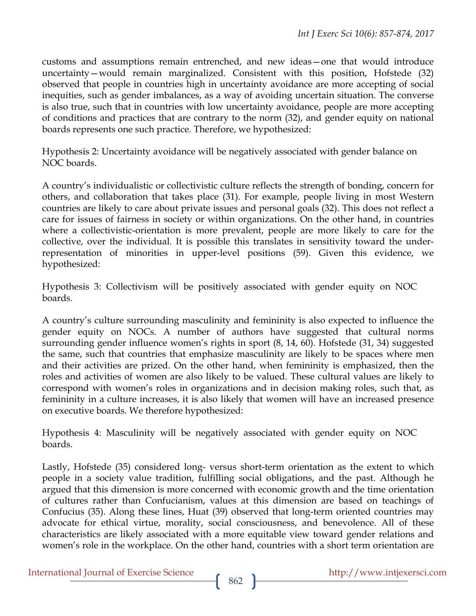customs and assumptions remain entrenched, and new ideas—one that would introduce uncertainty—would remain marginalized. Consistent with this position, Hofstede (32) observed that people in countries high in uncertainty avoidance are more accepting of social inequities, such as gender imbalances, as a way of avoiding uncertain situation. The converse is also true, such that in countries with low uncertainty avoidance, people are more accepting of conditions and practices that are contrary to the norm (32), and gender equity on national boards represents one such practice. Therefore, we hypothesized:

Hypothesis 2: Uncertainty avoidance will be negatively associated with gender balance on NOC boards.

A country's individualistic or collectivistic culture reflects the strength of bonding, concern for others, and collaboration that takes place (31). For example, people living in most Western countries are likely to care about private issues and personal goals (32). This does not reflect a care for issues of fairness in society or within organizations. On the other hand, in countries where a collectivistic-orientation is more prevalent, people are more likely to care for the collective, over the individual. It is possible this translates in sensitivity toward the underrepresentation of minorities in upper-level positions (59). Given this evidence, we hypothesized:

Hypothesis 3: Collectivism will be positively associated with gender equity on NOC boards.

A country's culture surrounding masculinity and femininity is also expected to influence the gender equity on NOCs. A number of authors have suggested that cultural norms surrounding gender influence women's rights in sport (8, 14, 60). Hofstede (31, 34) suggested the same, such that countries that emphasize masculinity are likely to be spaces where men and their activities are prized. On the other hand, when femininity is emphasized, then the roles and activities of women are also likely to be valued. These cultural values are likely to correspond with women's roles in organizations and in decision making roles, such that, as femininity in a culture increases, it is also likely that women will have an increased presence on executive boards. We therefore hypothesized:

Hypothesis 4: Masculinity will be negatively associated with gender equity on NOC boards.

Lastly, Hofstede (35) considered long- versus short-term orientation as the extent to which people in a society value tradition, fulfilling social obligations, and the past. Although he argued that this dimension is more concerned with economic growth and the time orientation of cultures rather than Confucianism, values at this dimension are based on teachings of Confucius (35). Along these lines, Huat (39) observed that long-term oriented countries may advocate for ethical virtue, morality, social consciousness, and benevolence. All of these characteristics are likely associated with a more equitable view toward gender relations and women's role in the workplace. On the other hand, countries with a short term orientation are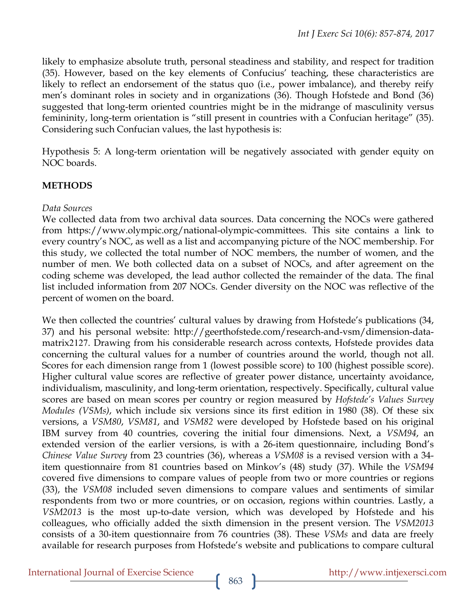likely to emphasize absolute truth, personal steadiness and stability, and respect for tradition (35). However, based on the key elements of Confucius' teaching, these characteristics are likely to reflect an endorsement of the status quo (i.e., power imbalance), and thereby reify men's dominant roles in society and in organizations (36). Though Hofstede and Bond (36) suggested that long-term oriented countries might be in the midrange of masculinity versus femininity, long-term orientation is "still present in countries with a Confucian heritage" (35). Considering such Confucian values, the last hypothesis is:

Hypothesis 5: A long-term orientation will be negatively associated with gender equity on NOC boards.

#### **METHODS**

#### *Data Sources*

We collected data from two archival data sources. Data concerning the NOCs were gathered from https://www.olympic.org/national-olympic-committees. This site contains a link to every country's NOC, as well as a list and accompanying picture of the NOC membership. For this study, we collected the total number of NOC members, the number of women, and the number of men. We both collected data on a subset of NOCs, and after agreement on the coding scheme was developed, the lead author collected the remainder of the data. The final list included information from 207 NOCs. Gender diversity on the NOC was reflective of the percent of women on the board.

We then collected the countries' cultural values by drawing from Hofstede's publications (34, 37) and his personal website: http://geerthofstede.com/research-and-vsm/dimension-datamatrix2127. Drawing from his considerable research across contexts, Hofstede provides data concerning the cultural values for a number of countries around the world, though not all. Scores for each dimension range from 1 (lowest possible score) to 100 (highest possible score). Higher cultural value scores are reflective of greater power distance, uncertainty avoidance, individualism, masculinity, and long-term orientation, respectively. Specifically, cultural value scores are based on mean scores per country or region measured by *Hofstede's Values Survey Modules (VSMs)*, which include six versions since its first edition in 1980 (38). Of these six versions, a *VSM80*, *VSM81*, and *VSM82* were developed by Hofstede based on his original IBM survey from 40 countries, covering the initial four dimensions. Next, a *VSM94*, an extended version of the earlier versions, is with a 26-item questionnaire, including Bond's *Chinese Value Survey* from 23 countries (36), whereas a *VSM08* is a revised version with a 34 item questionnaire from 81 countries based on Minkov's (48) study (37). While the *VSM94* covered five dimensions to compare values of people from two or more countries or regions (33), the *VSM08* included seven dimensions to compare values and sentiments of similar respondents from two or more countries, or on occasion, regions within countries. Lastly, a *VSM2013* is the most up-to-date version, which was developed by Hofstede and his colleagues, who officially added the sixth dimension in the present version. The *VSM2013* consists of a 30-item questionnaire from 76 countries (38). These *VSMs* and data are freely available for research purposes from Hofstede's website and publications to compare cultural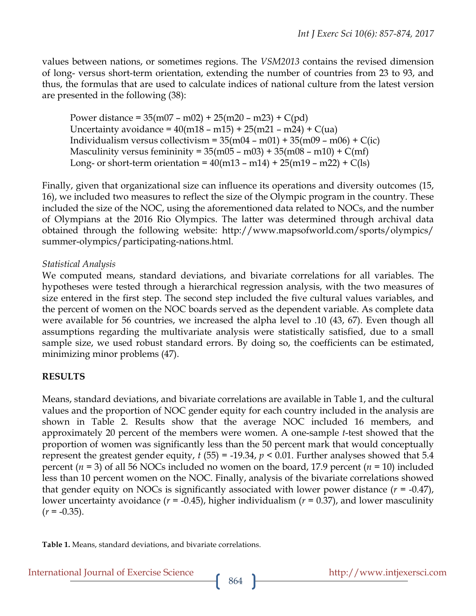values between nations, or sometimes regions. The *VSM2013* contains the revised dimension of long- versus short-term orientation, extending the number of countries from 23 to 93, and thus, the formulas that are used to calculate indices of national culture from the latest version are presented in the following (38):

Power distance =  $35(m07 - m02) + 25(m20 - m23) + C(pd)$ Uncertainty avoidance =  $40(m18 - m15) + 25(m21 - m24) + C(ua)$ Individualism versus collectivism =  $35(m04 - m01) + 35(m09 - m06) + C(ic)$ Masculinity versus femininity =  $35(m05 - m03) + 35(m08 - m10) + C(mf)$ Long- or short-term orientation =  $40(m13 - m14) + 25(m19 - m22) + C(1s)$ 

Finally, given that organizational size can influence its operations and diversity outcomes (15, 16), we included two measures to reflect the size of the Olympic program in the country. These included the size of the NOC, using the aforementioned data related to NOCs, and the number of Olympians at the 2016 Rio Olympics. The latter was determined through archival data obtained through the following website: http://www.mapsofworld.com/sports/olympics/ summer-olympics/participating-nations.html.

#### *Statistical Analysis*

We computed means, standard deviations, and bivariate correlations for all variables. The hypotheses were tested through a hierarchical regression analysis, with the two measures of size entered in the first step. The second step included the five cultural values variables, and the percent of women on the NOC boards served as the dependent variable. As complete data were available for 56 countries, we increased the alpha level to .10 (43, 67). Even though all assumptions regarding the multivariate analysis were statistically satisfied, due to a small sample size, we used robust standard errors. By doing so, the coefficients can be estimated, minimizing minor problems (47).

## **RESULTS**

Means, standard deviations, and bivariate correlations are available in Table 1, and the cultural values and the proportion of NOC gender equity for each country included in the analysis are shown in Table 2. Results show that the average NOC included 16 members, and approximately 20 percent of the members were women. A one-sample *t*-test showed that the proportion of women was significantly less than the 50 percent mark that would conceptually represent the greatest gender equity,  $t$  (55) = -19.34,  $p$  < 0.01. Further analyses showed that 5.4 percent (*n* = 3) of all 56 NOCs included no women on the board, 17.9 percent (*n* = 10) included less than 10 percent women on the NOC. Finally, analysis of the bivariate correlations showed that gender equity on NOCs is significantly associated with lower power distance  $(r = -0.47)$ , lower uncertainty avoidance (*r* = -0.45), higher individualism (*r* = 0.37), and lower masculinity  $(r = -0.35)$ .

**Table 1.** Means, standard deviations, and bivariate correlations.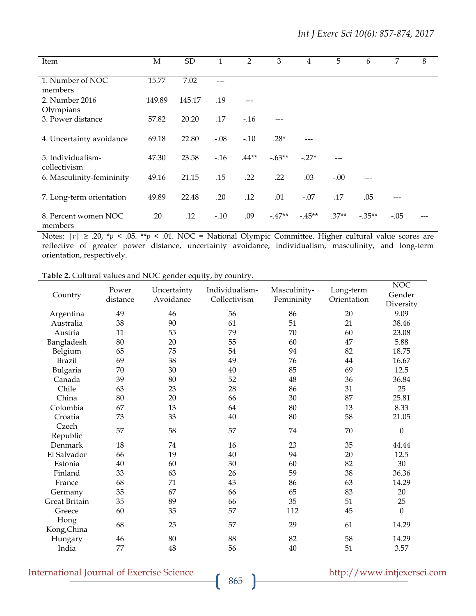| Item                              | M      | <b>SD</b> | 1      | $\overline{2}$ | 3        | 4        | 5       | 6         | 7      | 8 |
|-----------------------------------|--------|-----------|--------|----------------|----------|----------|---------|-----------|--------|---|
| 1. Number of NOC<br>members       | 15.77  | 7.02      |        |                |          |          |         |           |        |   |
| 2. Number 2016<br>Olympians       | 149.89 | 145.17    | .19    |                |          |          |         |           |        |   |
| 3. Power distance                 | 57.82  | 20.20     | .17    | $-16$          |          |          |         |           |        |   |
| 4. Uncertainty avoidance          | 69.18  | 22.80     | $-.08$ | $-.10$         | $.28*$   |          |         |           |        |   |
| 5. Individualism-<br>collectivism | 47.30  | 23.58     | $-16$  | $.44**$        | $-.63**$ | $-.27*$  |         |           |        |   |
| 6. Masculinity-femininity         | 49.16  | 21.15     | .15    | .22            | .22      | .03      | $-.00$  |           |        |   |
| 7. Long-term orientation          | 49.89  | 22.48     | .20    | .12            | .01      | $-.07$   | .17     | .05       |        |   |
| 8. Percent women NOC<br>members   | .20    | .12       | $-.10$ | .09            | $-47**$  | $-.45**$ | $.37**$ | $-.35***$ | $-.05$ |   |

Notes:  $|r| \geq .20$ ,  $* p < .05$ .  $* p < .01$ . NOC = National Olympic Committee. Higher cultural value scores are reflective of greater power distance, uncertainty avoidance, individualism, masculinity, and long-term orientation, respectively.

| Country             | Power    | Uncertainty | Individualism- | Masculinity- | Long-term   | <b>NOC</b><br>Gender |
|---------------------|----------|-------------|----------------|--------------|-------------|----------------------|
|                     | distance | Avoidance   | Collectivism   | Femininity   | Orientation | Diversity            |
| Argentina           | 49       | 46          | 56             | 86           | 20          | 9.09                 |
| Australia           | 38       | 90          | 61             | 51           | 21          | 38.46                |
| Austria             | 11       | 55          | 79             | 70           | 60          | 23.08                |
| Bangladesh          | 80       | 20          | 55             | 60           | 47          | 5.88                 |
| Belgium             | 65       | 75          | 54             | 94           | 82          | 18.75                |
| <b>Brazil</b>       | 69       | 38          | 49             | 76           | 44          | 16.67                |
| Bulgaria            | 70       | 30          | 40             | 85           | 69          | 12.5                 |
| Canada              | 39       | 80          | 52             | $\rm 48$     | 36          | 36.84                |
| Chile               | 63       | 23          | 28             | 86           | 31          | 25                   |
| China               | 80       | 20          | 66             | 30           | 87          | 25.81                |
| Colombia            | 67       | 13          | 64             | $80\,$       | 13          | 8.33                 |
| Croatia             | 73       | 33          | 40             | $80\,$       | 58          | 21.05                |
| Czech<br>Republic   | 57       | 58          | 57             | 74           | 70          | $\boldsymbol{0}$     |
| Denmark             | 18       | 74          | 16             | 23           | 35          | 44.44                |
| El Salvador         | 66       | 19          | 40             | 94           | 20          | 12.5                 |
| Estonia             | 40       | 60          | 30             | 60           | 82          | 30                   |
| Finland             | 33       | 63          | 26             | 59           | 38          | 36.36                |
| France              | 68       | 71          | 43             | 86           | 63          | 14.29                |
| Germany             | 35       | 67          | 66             | 65           | 83          | 20                   |
| Great Britain       | 35       | 89          | 66             | 35           | 51          | 25                   |
| Greece              | 60       | 35          | 57             | 112          | 45          | $\boldsymbol{0}$     |
| Hong<br>Kong, China | 68       | 25          | 57             | 29           | 61          | 14.29                |
| Hungary             | 46       | 80          | 88             | 82           | 58          | 14.29                |
| India               | 77       | 48          | 56             | $40\,$       | 51          | 3.57                 |

**Table 2.** Cultural values and NOC gender equity, by country.

# International Journal of Exercise Science http://www.intjexersci.com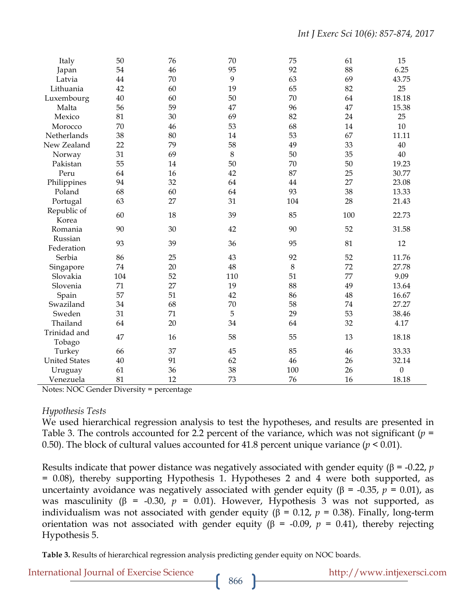| Italy                  | 50  | 76 | 70      | 75  | 61  | 15               |
|------------------------|-----|----|---------|-----|-----|------------------|
| Japan                  | 54  | 46 | 95      | 92  | 88  | 6.25             |
| Latvia                 | 44  | 70 | 9       | 63  | 69  | 43.75            |
| Lithuania              | 42  | 60 | 19      | 65  | 82  | 25               |
| Luxembourg             | 40  | 60 | 50      | 70  | 64  | 18.18            |
| Malta                  | 56  | 59 | 47      | 96  | 47  | 15.38            |
| Mexico                 | 81  | 30 | 69      | 82  | 24  | 25               |
| Morocco                | 70  | 46 | 53      | 68  | 14  | 10               |
| Netherlands            | 38  | 80 | 14      | 53  | 67  | 11.11            |
| New Zealand            | 22  | 79 | 58      | 49  | 33  | 40               |
| Norway                 | 31  | 69 | $\,8\,$ | 50  | 35  | 40               |
| Pakistan               | 55  | 14 | 50      | 70  | 50  | 19.23            |
| Peru                   | 64  | 16 | 42      | 87  | 25  | 30.77            |
| Philippines            | 94  | 32 | 64      | 44  | 27  | 23.08            |
| Poland                 | 68  | 60 | 64      | 93  | 38  | 13.33            |
| Portugal               | 63  | 27 | 31      | 104 | 28  | 21.43            |
| Republic of<br>Korea   | 60  | 18 | 39      | 85  | 100 | 22.73            |
| Romania                | 90  | 30 | 42      | 90  | 52  | 31.58            |
| Russian                |     |    |         |     |     |                  |
| Federation             | 93  | 39 | 36      | 95  | 81  | 12               |
| Serbia                 | 86  | 25 | 43      | 92  | 52  | 11.76            |
| Singapore              | 74  | 20 | 48      | 8   | 72  | 27.78            |
| Slovakia               | 104 | 52 | 110     | 51  | 77  | 9.09             |
| Slovenia               | 71  | 27 | 19      | 88  | 49  | 13.64            |
| Spain                  | 57  | 51 | 42      | 86  | 48  | 16.67            |
| Swaziland              | 34  | 68 | 70      | 58  | 74  | 27.27            |
| Sweden                 | 31  | 71 | 5       | 29  | 53  | 38.46            |
| Thailand               | 64  | 20 | 34      | 64  | 32  | 4.17             |
| Trinidad and<br>Tobago | 47  | 16 | 58      | 55  | 13  | 18.18            |
| Turkey                 | 66  | 37 | 45      | 85  | 46  | 33.33            |
| <b>United States</b>   | 40  | 91 | 62      | 46  | 26  | 32.14            |
| Uruguay                | 61  | 36 | 38      | 100 | 26  | $\boldsymbol{0}$ |
| Venezuela              | 81  | 12 | 73      | 76  | 16  | 18.18            |

Notes: NOC Gender Diversity = percentage

#### *Hypothesis Tests*

We used hierarchical regression analysis to test the hypotheses, and results are presented in Table 3. The controls accounted for 2.2 percent of the variance, which was not significant (*p* = 0.50). The block of cultural values accounted for 41.8 percent unique variance  $(p < 0.01)$ .

Results indicate that power distance was negatively associated with gender equity (β = -0.22, *p* = 0.08), thereby supporting Hypothesis 1. Hypotheses 2 and 4 were both supported, as uncertainty avoidance was negatively associated with gender equity (β = -0.35,  $p = 0.01$ ), as was masculinity (β = -0.30,  $p = 0.01$ ). However, Hypothesis 3 was not supported, as individualism was not associated with gender equity ( $β = 0.12$ ,  $p = 0.38$ ). Finally, long-term orientation was not associated with gender equity (β = -0.09,  $p$  = 0.41), thereby rejecting Hypothesis 5.

**Table 3.** Results of hierarchical regression analysis predicting gender equity on NOC boards.

International Journal of Exercise Science http://www.intjexersci.com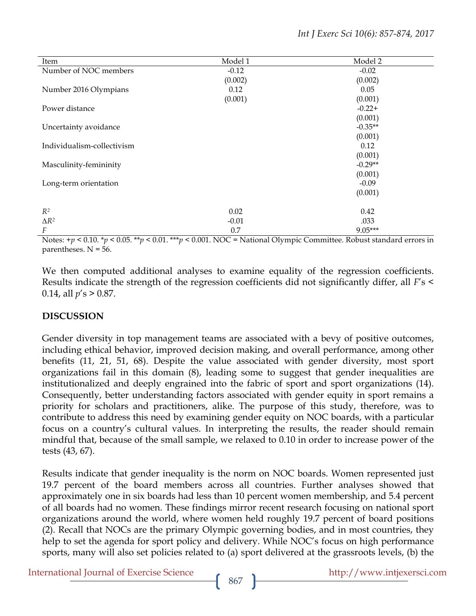| Item                       | Model 1 | Model 2   |
|----------------------------|---------|-----------|
| Number of NOC members      | $-0.12$ | $-0.02$   |
|                            | (0.002) | (0.002)   |
| Number 2016 Olympians      | 0.12    | 0.05      |
|                            | (0.001) | (0.001)   |
| Power distance             |         | $-0.22+$  |
|                            |         | (0.001)   |
| Uncertainty avoidance      |         | $-0.35**$ |
|                            |         | (0.001)   |
| Individualism-collectivism |         | 0.12      |
|                            |         | (0.001)   |
| Masculinity-femininity     |         | $-0.29**$ |
|                            |         | (0.001)   |
| Long-term orientation      |         | $-0.09$   |
|                            |         | (0.001)   |
|                            |         |           |
| $R^2$                      | 0.02    | 0.42      |
| $\Delta R^2$               | $-0.01$ | .033      |
| F                          | 0.7     | $9.05***$ |

Notes: +*p* < 0.10. \**p* < 0.05. \*\**p* < 0.01. \*\*\**p* < 0.001. NOC = National Olympic Committee. Robust standard errors in parentheses.  $N = 56$ .

We then computed additional analyses to examine equality of the regression coefficients. Results indicate the strength of the regression coefficients did not significantly differ, all *F*'s < 0.14, all *p*'s > 0.87.

## **DISCUSSION**

Gender diversity in top management teams are associated with a bevy of positive outcomes, including ethical behavior, improved decision making, and overall performance, among other benefits (11, 21, 51, 68). Despite the value associated with gender diversity, most sport organizations fail in this domain (8), leading some to suggest that gender inequalities are institutionalized and deeply engrained into the fabric of sport and sport organizations (14). Consequently, better understanding factors associated with gender equity in sport remains a priority for scholars and practitioners, alike. The purpose of this study, therefore, was to contribute to address this need by examining gender equity on NOC boards, with a particular focus on a country's cultural values. In interpreting the results, the reader should remain mindful that, because of the small sample, we relaxed to 0.10 in order to increase power of the tests (43, 67).

Results indicate that gender inequality is the norm on NOC boards. Women represented just 19.7 percent of the board members across all countries. Further analyses showed that approximately one in six boards had less than 10 percent women membership, and 5.4 percent of all boards had no women. These findings mirror recent research focusing on national sport organizations around the world, where women held roughly 19.7 percent of board positions (2). Recall that NOCs are the primary Olympic governing bodies, and in most countries, they help to set the agenda for sport policy and delivery. While NOC's focus on high performance sports, many will also set policies related to (a) sport delivered at the grassroots levels, (b) the

International Journal of Exercise Science http://www.intjexersci.com http://www.intjexersci.com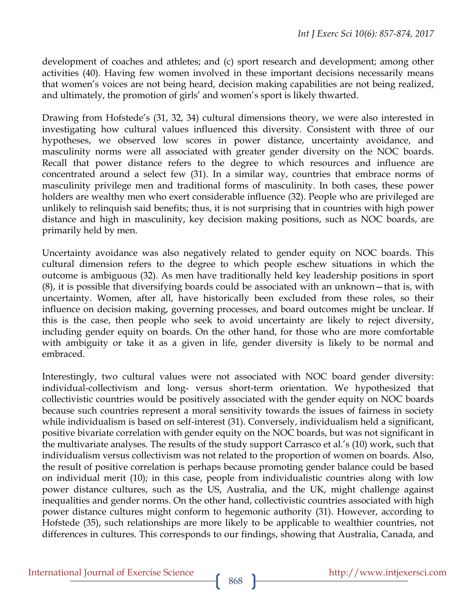development of coaches and athletes; and (c) sport research and development; among other activities (40). Having few women involved in these important decisions necessarily means that women's voices are not being heard, decision making capabilities are not being realized, and ultimately, the promotion of girls' and women's sport is likely thwarted.

Drawing from Hofstede's (31, 32, 34) cultural dimensions theory, we were also interested in investigating how cultural values influenced this diversity. Consistent with three of our hypotheses, we observed low scores in power distance, uncertainty avoidance, and masculinity norms were all associated with greater gender diversity on the NOC boards. Recall that power distance refers to the degree to which resources and influence are concentrated around a select few (31). In a similar way, countries that embrace norms of masculinity privilege men and traditional forms of masculinity. In both cases, these power holders are wealthy men who exert considerable influence (32). People who are privileged are unlikely to relinquish said benefits; thus, it is not surprising that in countries with high power distance and high in masculinity, key decision making positions, such as NOC boards, are primarily held by men.

Uncertainty avoidance was also negatively related to gender equity on NOC boards. This cultural dimension refers to the degree to which people eschew situations in which the outcome is ambiguous (32). As men have traditionally held key leadership positions in sport (8), it is possible that diversifying boards could be associated with an unknown—that is, with uncertainty. Women, after all, have historically been excluded from these roles, so their influence on decision making, governing processes, and board outcomes might be unclear. If this is the case, then people who seek to avoid uncertainty are likely to reject diversity, including gender equity on boards. On the other hand, for those who are more comfortable with ambiguity or take it as a given in life, gender diversity is likely to be normal and embraced.

Interestingly, two cultural values were not associated with NOC board gender diversity: individual-collectivism and long- versus short-term orientation. We hypothesized that collectivistic countries would be positively associated with the gender equity on NOC boards because such countries represent a moral sensitivity towards the issues of fairness in society while individualism is based on self-interest (31). Conversely, individualism held a significant, positive bivariate correlation with gender equity on the NOC boards, but was not significant in the multivariate analyses. The results of the study support Carrasco et al.'s (10) work, such that individualism versus collectivism was not related to the proportion of women on boards. Also, the result of positive correlation is perhaps because promoting gender balance could be based on individual merit (10); in this case, people from individualistic countries along with low power distance cultures, such as the US, Australia, and the UK, might challenge against inequalities and gender norms. On the other hand, collectivistic countries associated with high power distance cultures might conform to hegemonic authority (31). However, according to Hofstede (35), such relationships are more likely to be applicable to wealthier countries, not differences in cultures. This corresponds to our findings, showing that Australia, Canada, and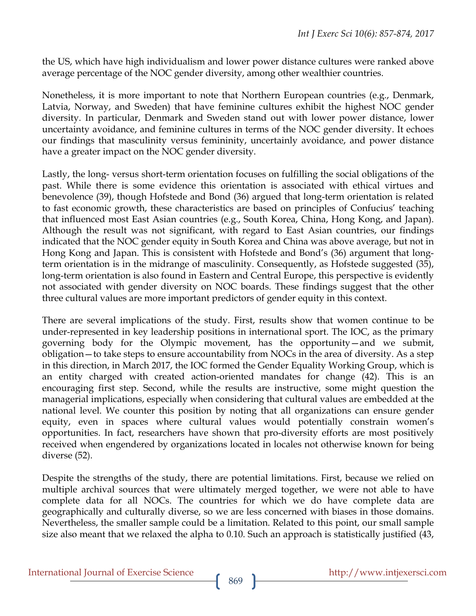the US, which have high individualism and lower power distance cultures were ranked above average percentage of the NOC gender diversity, among other wealthier countries.

Nonetheless, it is more important to note that Northern European countries (e.g., Denmark, Latvia, Norway, and Sweden) that have feminine cultures exhibit the highest NOC gender diversity. In particular, Denmark and Sweden stand out with lower power distance, lower uncertainty avoidance, and feminine cultures in terms of the NOC gender diversity. It echoes our findings that masculinity versus femininity, uncertainly avoidance, and power distance have a greater impact on the NOC gender diversity.

Lastly, the long- versus short-term orientation focuses on fulfilling the social obligations of the past. While there is some evidence this orientation is associated with ethical virtues and benevolence (39), though Hofstede and Bond (36) argued that long-term orientation is related to fast economic growth, these characteristics are based on principles of Confucius' teaching that influenced most East Asian countries (e.g., South Korea, China, Hong Kong, and Japan). Although the result was not significant, with regard to East Asian countries, our findings indicated that the NOC gender equity in South Korea and China was above average, but not in Hong Kong and Japan. This is consistent with Hofstede and Bond's (36) argument that longterm orientation is in the midrange of masculinity. Consequently, as Hofstede suggested (35), long-term orientation is also found in Eastern and Central Europe, this perspective is evidently not associated with gender diversity on NOC boards. These findings suggest that the other three cultural values are more important predictors of gender equity in this context.

There are several implications of the study. First, results show that women continue to be under-represented in key leadership positions in international sport. The IOC, as the primary governing body for the Olympic movement, has the opportunity—and we submit, obligation—to take steps to ensure accountability from NOCs in the area of diversity. As a step in this direction, in March 2017, the IOC formed the Gender Equality Working Group, which is an entity charged with created action-oriented mandates for change (42). This is an encouraging first step. Second, while the results are instructive, some might question the managerial implications, especially when considering that cultural values are embedded at the national level. We counter this position by noting that all organizations can ensure gender equity, even in spaces where cultural values would potentially constrain women's opportunities. In fact, researchers have shown that pro-diversity efforts are most positively received when engendered by organizations located in locales not otherwise known for being diverse (52).

Despite the strengths of the study, there are potential limitations. First, because we relied on multiple archival sources that were ultimately merged together, we were not able to have complete data for all NOCs. The countries for which we do have complete data are geographically and culturally diverse, so we are less concerned with biases in those domains. Nevertheless, the smaller sample could be a limitation. Related to this point, our small sample size also meant that we relaxed the alpha to 0.10. Such an approach is statistically justified (43,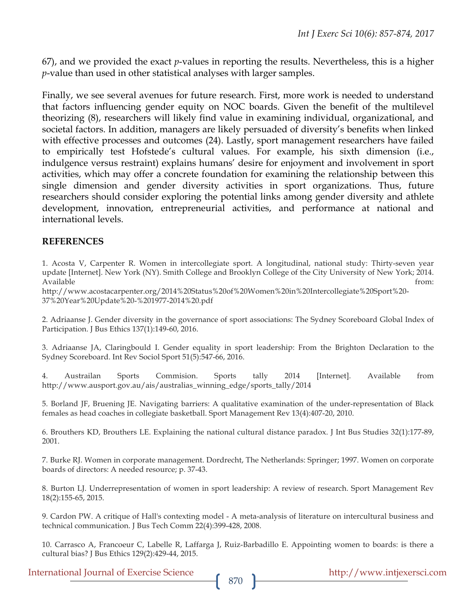67), and we provided the exact *p*-values in reporting the results. Nevertheless, this is a higher *p*-value than used in other statistical analyses with larger samples.

Finally, we see several avenues for future research. First, more work is needed to understand that factors influencing gender equity on NOC boards. Given the benefit of the multilevel theorizing (8), researchers will likely find value in examining individual, organizational, and societal factors. In addition, managers are likely persuaded of diversity's benefits when linked with effective processes and outcomes (24). Lastly, sport management researchers have failed to empirically test Hofstede's cultural values. For example, his sixth dimension (i.e., indulgence versus restraint) explains humans' desire for enjoyment and involvement in sport activities, which may offer a concrete foundation for examining the relationship between this single dimension and gender diversity activities in sport organizations. Thus, future researchers should consider exploring the potential links among gender diversity and athlete development, innovation, entrepreneurial activities, and performance at national and international levels.

#### **REFERENCES**

1. Acosta V, Carpenter R. Women in intercollegiate sport. A longitudinal, national study: Thirty-seven year update [Internet]. New York (NY). Smith College and Brooklyn College of the City University of New York; 2014. Available from: the state of the state of the state of the state of the state of the state of the state of the state of the state of the state of the state of the state of the state of the state of the state of the state o

http://www.acostacarpenter.org/2014%20Status%20of%20Women%20in%20Intercollegiate%20Sport%20- 37%20Year%20Update%20-%201977-2014%20.pdf

2. Adriaanse J. Gender diversity in the governance of sport associations: The Sydney Scoreboard Global Index of Participation. J Bus Ethics 137(1):149-60, 2016.

3. Adriaanse JA, Claringbould I. Gender equality in sport leadership: From the Brighton Declaration to the Sydney Scoreboard. Int Rev Sociol Sport 51(5):547-66, 2016.

4. Austrailan Sports Commision. Sports tally 2014 [Internet]. Available from http://www.ausport.gov.au/ais/australias\_winning\_edge/sports\_tally/2014

5. Borland JF, Bruening JE. Navigating barriers: A qualitative examination of the under-representation of Black females as head coaches in collegiate basketball. Sport Management Rev 13(4):407-20, 2010.

6. Brouthers KD, Brouthers LE. Explaining the national cultural distance paradox. J Int Bus Studies 32(1):177-89, 2001.

7. Burke RJ. Women in corporate management. Dordrecht, The Netherlands: Springer; 1997. Women on corporate boards of directors: A needed resource; p. 37-43.

8. Burton LJ. Underrepresentation of women in sport leadership: A review of research. Sport Management Rev 18(2):155-65, 2015.

9. Cardon PW. A critique of Hall's contexting model - A meta-analysis of literature on intercultural business and technical communication. J Bus Tech Comm 22(4):399-428, 2008.

10. Carrasco A, Francoeur C, Labelle R, Laffarga J, Ruiz-Barbadillo E. Appointing women to boards: is there a cultural bias? J Bus Ethics 129(2):429-44, 2015.

International Journal of Exercise Science http://www.intjexersci.com http://www.intjexersci.com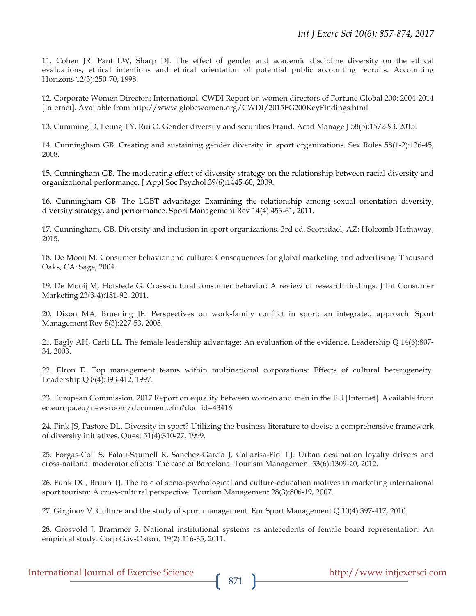11. Cohen JR, Pant LW, Sharp DJ. The effect of gender and academic discipline diversity on the ethical evaluations, ethical intentions and ethical orientation of potential public accounting recruits. Accounting Horizons 12(3):250-70, 1998.

12. Corporate Women Directors International. CWDI Report on women directors of Fortune Global 200: 2004-2014 [Internet]. Available from http://www.globewomen.org/CWDI/2015FG200KeyFindings.html

13. Cumming D, Leung TY, Rui O. Gender diversity and securities Fraud. Acad Manage J 58(5):1572-93, 2015.

14. Cunningham GB. Creating and sustaining gender diversity in sport organizations. Sex Roles 58(1-2):136-45, 2008.

15. Cunningham GB. The moderating effect of diversity strategy on the relationship between racial diversity and organizational performance. J Appl Soc Psychol 39(6):1445-60, 2009.

16. Cunningham GB. The LGBT advantage: Examining the relationship among sexual orientation diversity, diversity strategy, and performance. Sport Management Rev 14(4):453-61, 2011.

17. Cunningham, GB. Diversity and inclusion in sport organizations. 3rd ed. Scottsdael, AZ: Holcomb-Hathaway; 2015.

18. De Mooij M. Consumer behavior and culture: Consequences for global marketing and advertising. Thousand Oaks, CA: Sage; 2004.

19. De Mooij M, Hofstede G. Cross-cultural consumer behavior: A review of research findings. J Int Consumer Marketing 23(3-4):181-92, 2011.

20. Dixon MA, Bruening JE. Perspectives on work-family conflict in sport: an integrated approach. Sport Management Rev 8(3):227-53, 2005.

21. Eagly AH, Carli LL. The female leadership advantage: An evaluation of the evidence. Leadership Q 14(6):807- 34, 2003.

22. Elron E. Top management teams within multinational corporations: Effects of cultural heterogeneity. Leadership Q 8(4):393-412, 1997.

23. European Commission. 2017 Report on equality between women and men in the EU [Internet]. Available from ec.europa.eu/newsroom/document.cfm?doc\_id=43416

24. Fink JS, Pastore DL. Diversity in sport? Utilizing the business literature to devise a comprehensive framework of diversity initiatives. Quest 51(4):310-27, 1999.

25. Forgas-Coll S, Palau-Saumell R, Sanchez-Garcia J, Callarisa-Fiol LJ. Urban destination loyalty drivers and cross-national moderator effects: The case of Barcelona. Tourism Management 33(6):1309-20, 2012.

26. Funk DC, Bruun TJ. The role of socio-psychological and culture-education motives in marketing international sport tourism: A cross-cultural perspective. Tourism Management 28(3):806-19, 2007.

27. Girginov V. Culture and the study of sport management. Eur Sport Management Q 10(4):397-417, 2010.

28. Grosvold J, Brammer S. National institutional systems as antecedents of female board representation: An empirical study. Corp Gov-Oxford 19(2):116-35, 2011.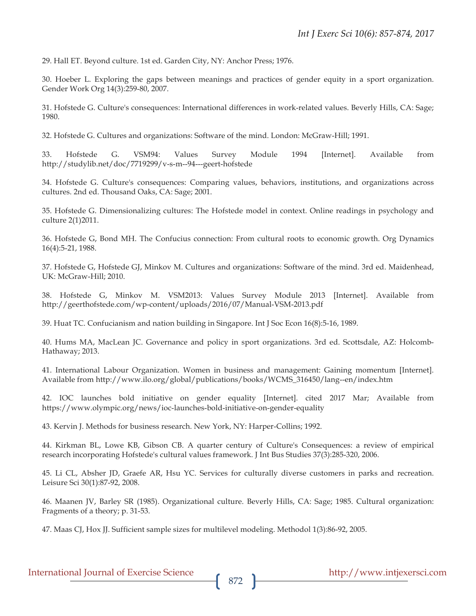29. Hall ET. Beyond culture. 1st ed. Garden City, NY: Anchor Press; 1976.

30. Hoeber L. Exploring the gaps between meanings and practices of gender equity in a sport organization. Gender Work Org 14(3):259-80, 2007.

31. Hofstede G. Culture's consequences: International differences in work-related values. Beverly Hills, CA: Sage; 1980.

32. Hofstede G. Cultures and organizations: Software of the mind. London: McGraw-Hill; 1991.

33. Hofstede G. VSM94: Values Survey Module 1994 [Internet]. Available from http://studylib.net/doc/7719299/v-s-m--94---geert-hofstede

34. Hofstede G. Culture's consequences: Comparing values, behaviors, institutions, and organizations across cultures. 2nd ed. Thousand Oaks, CA: Sage; 2001.

35. Hofstede G. Dimensionalizing cultures: The Hofstede model in context. Online readings in psychology and culture 2(1)2011.

36. Hofstede G, Bond MH. The Confucius connection: From cultural roots to economic growth. Org Dynamics 16(4):5-21, 1988.

37. Hofstede G, Hofstede GJ, Minkov M. Cultures and organizations: Software of the mind. 3rd ed. Maidenhead, UK: McGraw-Hill; 2010.

38. Hofstede G, Minkov M. VSM2013: Values Survey Module 2013 [Internet]. Available from http://geerthofstede.com/wp-content/uploads/2016/07/Manual-VSM-2013.pdf

39. Huat TC. Confucianism and nation building in Singapore. Int J Soc Econ 16(8):5-16, 1989.

40. Hums MA, MacLean JC. Governance and policy in sport organizations. 3rd ed. Scottsdale, AZ: Holcomb-Hathaway; 2013.

41. International Labour Organization. Women in business and management: Gaining momentum [Internet]. Available from http://www.ilo.org/global/publications/books/WCMS\_316450/lang--en/index.htm

42. IOC launches bold initiative on gender equality [Internet]. cited 2017 Mar; Available from https://www.olympic.org/news/ioc-launches-bold-initiative-on-gender-equality

43. Kervin J. Methods for business research. New York, NY: Harper-Collins; 1992.

44. Kirkman BL, Lowe KB, Gibson CB. A quarter century of Culture's Consequences: a review of empirical research incorporating Hofstede's cultural values framework. J Int Bus Studies 37(3):285-320, 2006.

45. Li CL, Absher JD, Graefe AR, Hsu YC. Services for culturally diverse customers in parks and recreation. Leisure Sci 30(1):87-92, 2008.

46. Maanen JV, Barley SR (1985). Organizational culture. Beverly Hills, CA: Sage; 1985. Cultural organization: Fragments of a theory; p. 31-53.

47. Maas CJ, Hox JJ. Sufficient sample sizes for multilevel modeling. Methodol 1(3):86-92, 2005.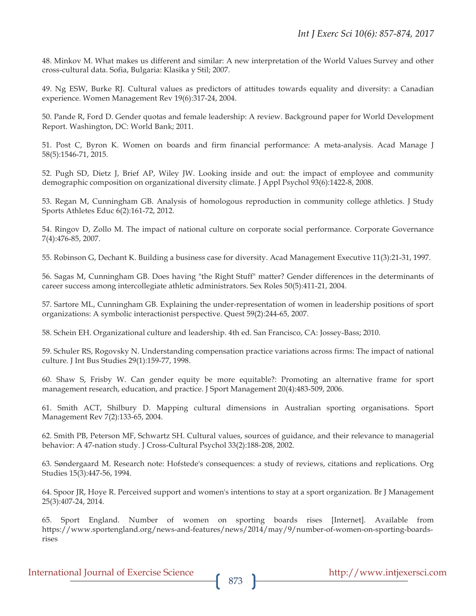48. Minkov M. What makes us different and similar: A new interpretation of the World Values Survey and other cross-cultural data. Sofia, Bulgaria: Klasika y Stil; 2007.

49. Ng ESW, Burke RJ. Cultural values as predictors of attitudes towards equality and diversity: a Canadian experience. Women Management Rev 19(6):317-24, 2004.

50. Pande R, Ford D. Gender quotas and female leadership: A review. Background paper for World Development Report. Washington, DC: World Bank; 2011.

51. Post C, Byron K. Women on boards and firm financial performance: A meta-analysis. Acad Manage J 58(5):1546-71, 2015.

52. Pugh SD, Dietz J, Brief AP, Wiley JW. Looking inside and out: the impact of employee and community demographic composition on organizational diversity climate. J Appl Psychol 93(6):1422-8, 2008.

53. Regan M, Cunningham GB. Analysis of homologous reproduction in community college athletics. J Study Sports Athletes Educ 6(2):161-72, 2012.

54. Ringov D, Zollo M. The impact of national culture on corporate social performance. Corporate Governance 7(4):476-85, 2007.

55. Robinson G, Dechant K. Building a business case for diversity. Acad Management Executive 11(3):21-31, 1997.

56. Sagas M, Cunningham GB. Does having "the Right Stuff" matter? Gender differences in the determinants of career success among intercollegiate athletic administrators. Sex Roles 50(5):411-21, 2004.

57. Sartore ML, Cunningham GB. Explaining the under-representation of women in leadership positions of sport organizations: A symbolic interactionist perspective. Quest 59(2):244-65, 2007.

58. Schein EH. Organizational culture and leadership. 4th ed. San Francisco, CA: Jossey-Bass; 2010.

59. Schuler RS, Rogovsky N. Understanding compensation practice variations across firms: The impact of national culture. J Int Bus Studies 29(1):159-77, 1998.

60. Shaw S, Frisby W. Can gender equity be more equitable?: Promoting an alternative frame for sport management research, education, and practice. J Sport Management 20(4):483-509, 2006.

61. Smith ACT, Shilbury D. Mapping cultural dimensions in Australian sporting organisations. Sport Management Rev 7(2):133-65, 2004.

62. Smith PB, Peterson MF, Schwartz SH. Cultural values, sources of guidance, and their relevance to managerial behavior: A 47-nation study. J Cross-Cultural Psychol 33(2):188-208, 2002.

63. Søndergaard M. Research note: Hofstede's consequences: a study of reviews, citations and replications. Org Studies 15(3):447-56, 1994.

64. Spoor JR, Hoye R. Perceived support and women's intentions to stay at a sport organization. Br J Management 25(3):407-24, 2014.

65. Sport England. Number of women on sporting boards rises [Internet]. Available from https://www.sportengland.org/news-and-features/news/2014/may/9/number-of-women-on-sporting-boardsrises